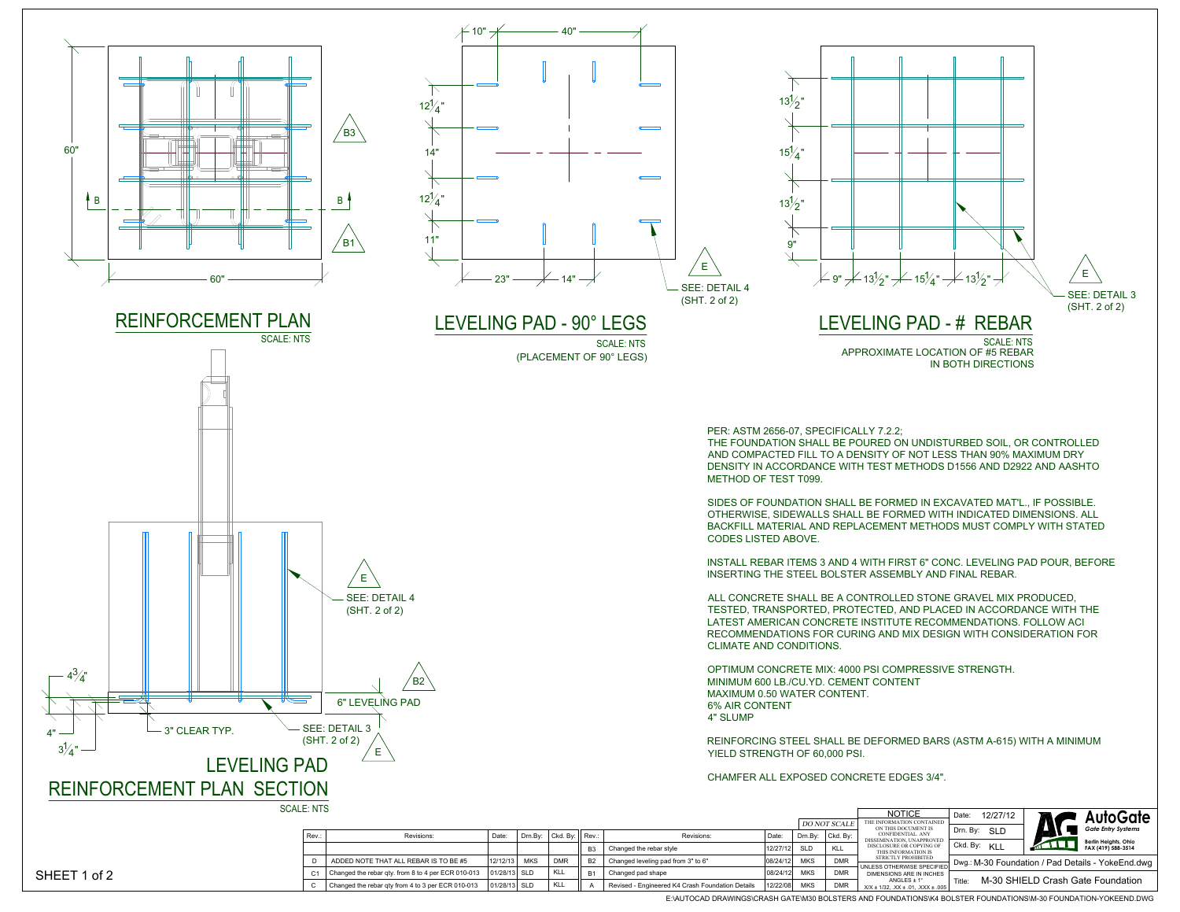

X/X ± 1/32, .XX ± .01, .XXX ± .005 A | Revised - Engineered K4 Crash Foundation Details 12/22/08 MKS DMR

E:\AUTOCAD DRAWINGS\CRASH GATE\M30 BOLSTERS AND FOUNDATIONS\K4 BOLSTER FOUNDATIONS\M-30 FOUNDATION-YOKEEND.DWG